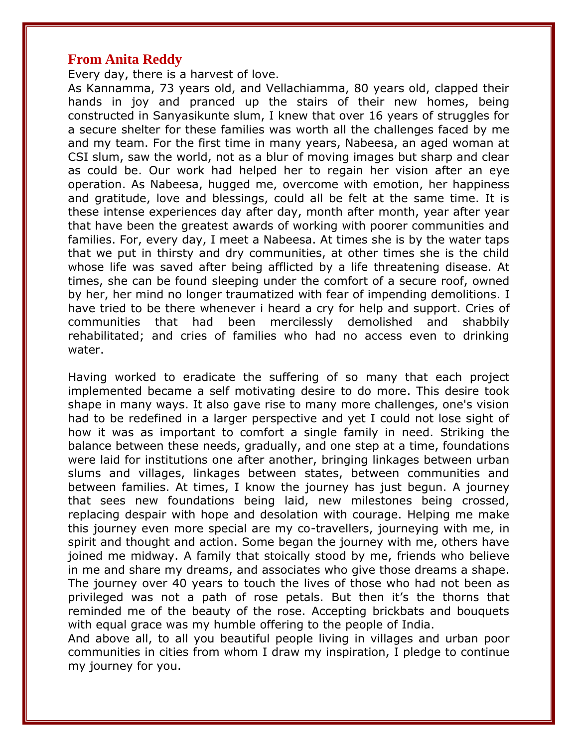#### **From Anita Reddy**

Every day, there is a harvest of love.

As Kannamma, 73 years old, and Vellachiamma, 80 years old, clapped their hands in joy and pranced up the stairs of their new homes, being constructed in Sanyasikunte slum, I knew that over 16 years of struggles for a secure shelter for these families was worth all the challenges faced by me and my team. For the first time in many years, Nabeesa, an aged woman at CSI slum, saw the world, not as a blur of moving images but sharp and clear as could be. Our work had helped her to regain her vision after an eye operation. As Nabeesa, hugged me, overcome with emotion, her happiness and gratitude, love and blessings, could all be felt at the same time. It is these intense experiences day after day, month after month, year after year that have been the greatest awards of working with poorer communities and families. For, every day, I meet a Nabeesa. At times she is by the water taps that we put in thirsty and dry communities, at other times she is the child whose life was saved after being afflicted by a life threatening disease. At times, she can be found sleeping under the comfort of a secure roof, owned by her, her mind no longer traumatized with fear of impending demolitions. I have tried to be there whenever i heard a cry for help and support. Cries of communities that had been mercilessly demolished and shabbily rehabilitated; and cries of families who had no access even to drinking water.

Having worked to eradicate the suffering of so many that each project implemented became a self motivating desire to do more. This desire took shape in many ways. It also gave rise to many more challenges, one's vision had to be redefined in a larger perspective and yet I could not lose sight of how it was as important to comfort a single family in need. Striking the balance between these needs, gradually, and one step at a time, foundations were laid for institutions one after another, bringing linkages between urban slums and villages, linkages between states, between communities and between families. At times, I know the journey has just begun. A journey that sees new foundations being laid, new milestones being crossed, replacing despair with hope and desolation with courage. Helping me make this journey even more special are my co-travellers, journeying with me, in spirit and thought and action. Some began the journey with me, others have joined me midway. A family that stoically stood by me, friends who believe in me and share my dreams, and associates who give those dreams a shape. The journey over 40 years to touch the lives of those who had not been as privileged was not a path of rose petals. But then it's the thorns that reminded me of the beauty of the rose. Accepting brickbats and bouquets with equal grace was my humble offering to the people of India.

And above all, to all you beautiful people living in villages and urban poor communities in cities from whom I draw my inspiration, I pledge to continue my journey for you.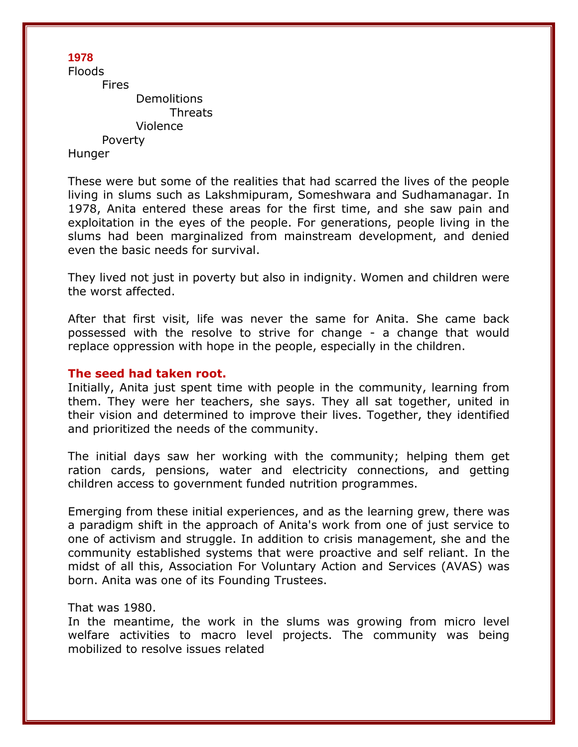Floods Fires **Demolitions** Threats Violence Poverty Hunger

These were but some of the realities that had scarred the lives of the people living in slums such as Lakshmipuram, Someshwara and Sudhamanagar. In 1978, Anita entered these areas for the first time, and she saw pain and exploitation in the eyes of the people. For generations, people living in the slums had been marginalized from mainstream development, and denied even the basic needs for survival.

They lived not just in poverty but also in indignity. Women and children were the worst affected.

After that first visit, life was never the same for Anita. She came back possessed with the resolve to strive for change - a change that would replace oppression with hope in the people, especially in the children.

#### **The seed had taken root.**

Initially, Anita just spent time with people in the community, learning from them. They were her teachers, she says. They all sat together, united in their vision and determined to improve their lives. Together, they identified and prioritized the needs of the community.

The initial days saw her working with the community; helping them get ration cards, pensions, water and electricity connections, and getting children access to government funded nutrition programmes.

Emerging from these initial experiences, and as the learning grew, there was a paradigm shift in the approach of Anita's work from one of just service to one of activism and struggle. In addition to crisis management, she and the community established systems that were proactive and self reliant. In the midst of all this, Association For Voluntary Action and Services (AVAS) was born. Anita was one of its Founding Trustees.

#### That was 1980.

In the meantime, the work in the slums was growing from micro level welfare activities to macro level projects. The community was being mobilized to resolve issues related

### **1978**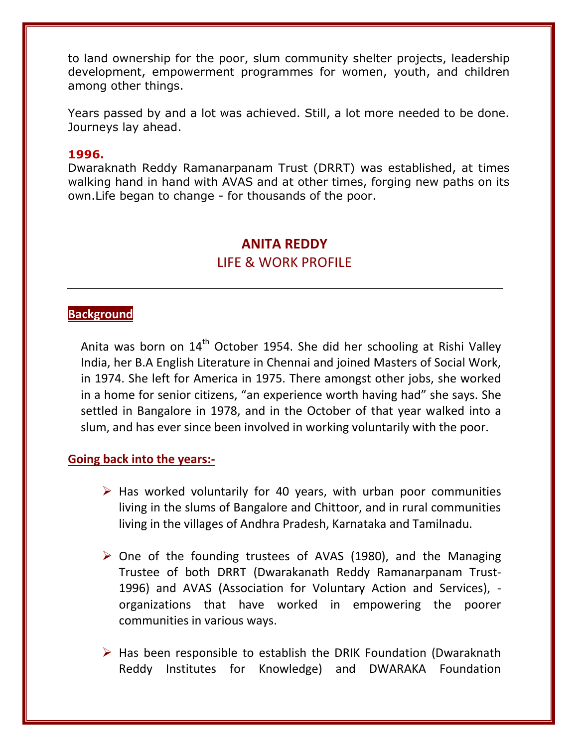to land ownership for the poor, slum community shelter projects, leadership development, empowerment programmes for women, youth, and children among other things.

Years passed by and a lot was achieved. Still, a lot more needed to be done. Journeys lay ahead.

#### **1996.**

Dwaraknath Reddy Ramanarpanam Trust (DRRT) was established, at times walking hand in hand with AVAS and at other times, forging new paths on its own.Life began to change - for thousands of the poor.

# **ANITA REDDY** LIFE & WORK PROFILE

## **Background**

Anita was born on  $14<sup>th</sup>$  October 1954. She did her schooling at Rishi Valley India, her B.A English Literature in Chennai and joined Masters of Social Work, in 1974. She left for America in 1975. There amongst other jobs, she worked in a home for senior citizens, "an experience worth having had" she says. She settled in Bangalore in 1978, and in the October of that year walked into a slum, and has ever since been involved in working voluntarily with the poor.

### **Going back into the years:-**

- $\triangleright$  Has worked voluntarily for 40 years, with urban poor communities living in the slums of Bangalore and Chittoor, and in rural communities living in the villages of Andhra Pradesh, Karnataka and Tamilnadu.
- $\triangleright$  One of the founding trustees of AVAS (1980), and the Managing Trustee of both DRRT (Dwarakanath Reddy Ramanarpanam Trust-1996) and AVAS (Association for Voluntary Action and Services), organizations that have worked in empowering the poorer communities in various ways.
- $\triangleright$  Has been responsible to establish the DRIK Foundation (Dwaraknath Reddy Institutes for Knowledge) and DWARAKA Foundation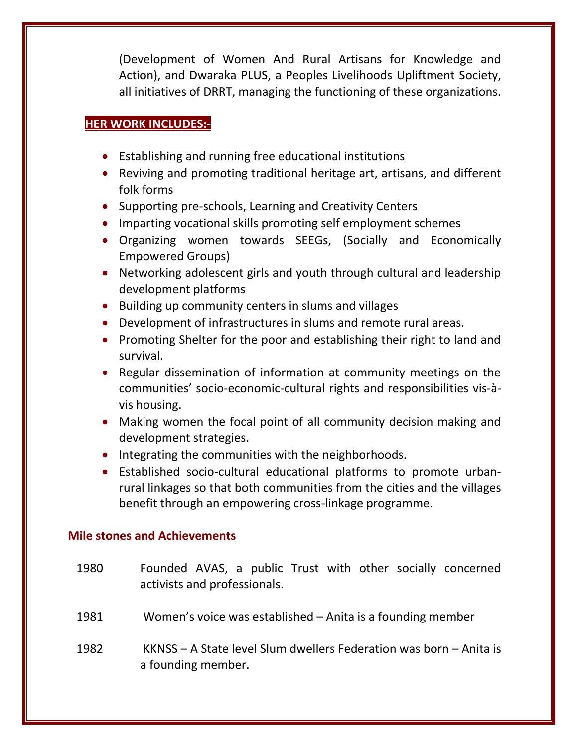(Development of Women And Rural Artisans for Knowledge and Action), and Dwaraka PLUS, a Peoples Livelihoods Upliftment Society, all initiatives of DRRT, managing the functioning of these organizations.

## **HER WORK INCLUDES:-**

- Establishing and running free educational institutions
- Reviving and promoting traditional heritage art, artisans, and different folk forms
- Supporting pre-schools, Learning and Creativity Centers
- Imparting vocational skills promoting self employment schemes
- Organizing women towards SEEGs, (Socially and Economically Empowered Groups)
- Networking adolescent girls and youth through cultural and leadership development platforms
- Building up community centers in slums and villages
- Development of infrastructures in slums and remote rural areas.
- Promoting Shelter for the poor and establishing their right to land and survival.
- Regular dissemination of information at community meetings on the communities' socio-economic-cultural rights and responsibilities vis-àvis housing.
- Making women the focal point of all community decision making and development strategies.
- Integrating the communities with the neighborhoods.
- Established socio-cultural educational platforms to promote urbanrural linkages so that both communities from the cities and the villages benefit through an empowering cross-linkage programme.

### **Mile stones and Achievements**

- 1980 Founded AVAS, a public Trust with other socially concerned activists and professionals.
- 1981 Women's voice was established Anita is a founding member
- 1982 KKNSS A State level Slum dwellers Federation was born Anita is a founding member.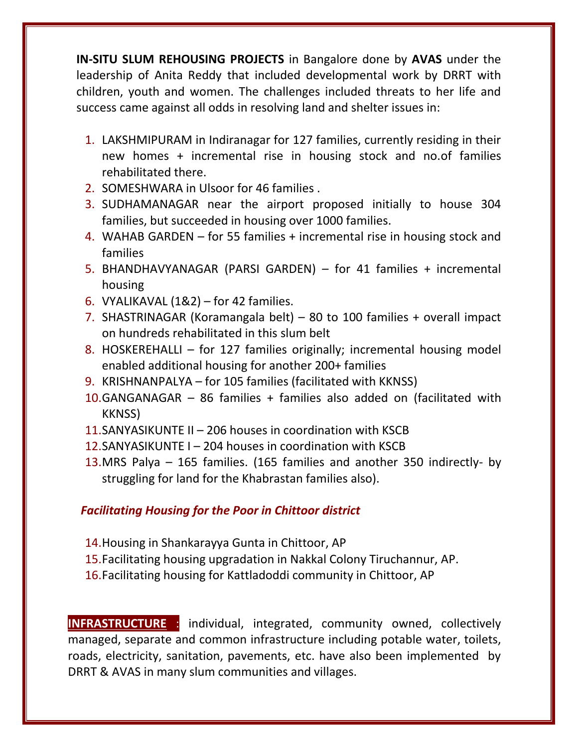**IN-SITU SLUM REHOUSING PROJECTS** in Bangalore done by **AVAS** under the leadership of Anita Reddy that included developmental work by DRRT with children, youth and women. The challenges included threats to her life and success came against all odds in resolving land and shelter issues in:

- 1. LAKSHMIPURAM in Indiranagar for 127 families, currently residing in their new homes + incremental rise in housing stock and no.of families rehabilitated there.
- 2. SOMESHWARA in Ulsoor for 46 families .
- 3. SUDHAMANAGAR near the airport proposed initially to house 304 families, but succeeded in housing over 1000 families.
- 4. WAHAB GARDEN for 55 families + incremental rise in housing stock and families
- 5. BHANDHAVYANAGAR (PARSI GARDEN) for 41 families + incremental housing
- 6. VYALIKAVAL  $(182)$  for 42 families.
- 7. SHASTRINAGAR (Koramangala belt) 80 to 100 families + overall impact on hundreds rehabilitated in this slum belt
- 8. HOSKEREHALLI for 127 families originally; incremental housing model enabled additional housing for another 200+ families
- 9. KRISHNANPALYA for 105 families (facilitated with KKNSS)
- 10.GANGANAGAR 86 families + families also added on (facilitated with KKNSS)
- 11.SANYASIKUNTE II 206 houses in coordination with KSCB
- 12.SANYASIKUNTE I 204 houses in coordination with KSCB
- 13.MRS Palya 165 families. (165 families and another 350 indirectly- by struggling for land for the Khabrastan families also).

# *Facilitating Housing for the Poor in Chittoor district*

- 14.Housing in Shankarayya Gunta in Chittoor, AP
- 15.Facilitating housing upgradation in Nakkal Colony Tiruchannur, AP.
- 16.Facilitating housing for Kattladoddi community in Chittoor, AP

**INFRASTRUCTURE** : individual, integrated, community owned, collectively managed, separate and common infrastructure including potable water, toilets, roads, electricity, sanitation, pavements, etc. have also been implemented by DRRT & AVAS in many slum communities and villages.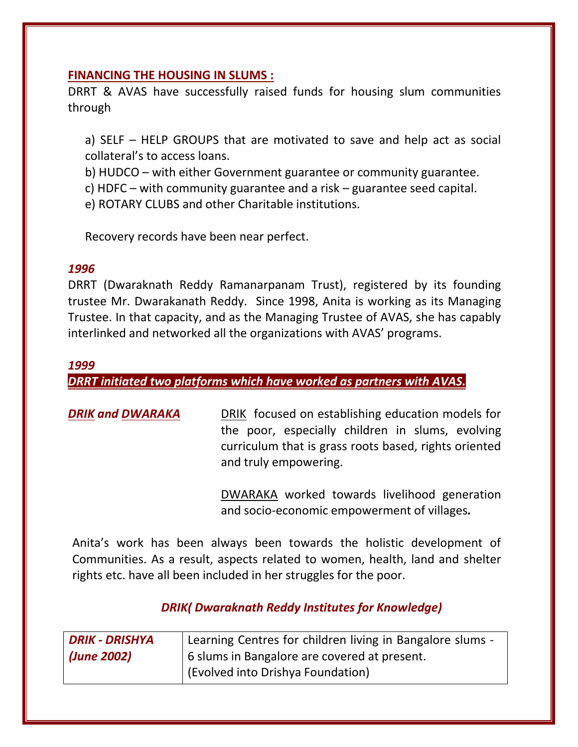### **FINANCING THE HOUSING IN SLUMS :**

DRRT & AVAS have successfully raised funds for housing slum communities through

a) SELF – HELP GROUPS that are motivated to save and help act as social collateral's to access loans.

b) HUDCO – with either Government guarantee or community guarantee.

c) HDFC – with community guarantee and a risk – guarantee seed capital.

e) ROTARY CLUBS and other Charitable institutions.

Recovery records have been near perfect.

### *1996*

DRRT (Dwaraknath Reddy Ramanarpanam Trust), registered by its founding trustee Mr. Dwarakanath Reddy. Since 1998, Anita is working as its Managing Trustee. In that capacity, and as the Managing Trustee of AVAS, she has capably interlinked and networked all the organizations with AVAS' programs.

### *1999*

*DRRT initiated two platforms which have worked as partners with AVAS.*

**DRIK and DWARAKA** DRIK focused on establishing education models for the poor, especially children in slums, evolving curriculum that is grass roots based, rights oriented and truly empowering.

> DWARAKA worked towards livelihood generation and socio-economic empowerment of villages*.*

Anita's work has been always been towards the holistic development of Communities. As a result, aspects related to women, health, land and shelter rights etc. have all been included in her struggles for the poor.

# *DRIK( Dwaraknath Reddy Institutes for Knowledge)*

| <b>DRIK - DRISHYA</b> | Learning Centres for children living in Bangalore slums - |
|-----------------------|-----------------------------------------------------------|
| (June 2002)           | 6 slums in Bangalore are covered at present.              |
|                       | (Evolved into Drishya Foundation)                         |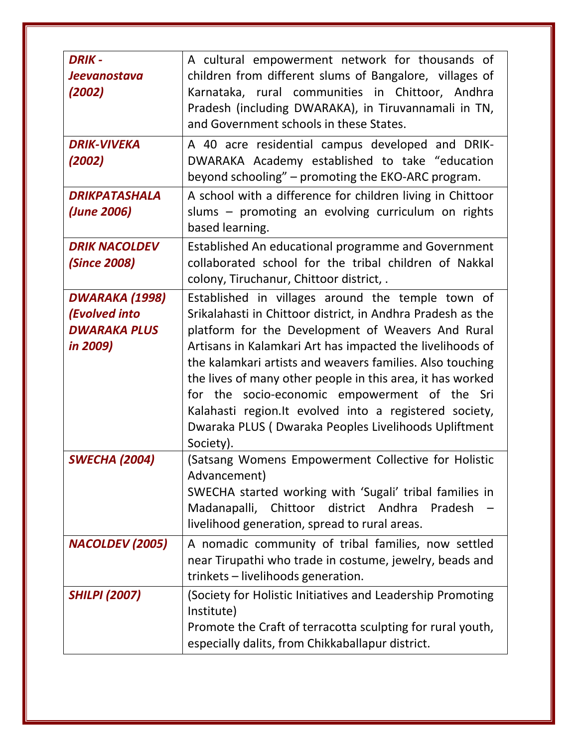| <b>DRIK-</b><br><b>Jeevanostava</b><br>(2002)                                    | A cultural empowerment network for thousands of<br>children from different slums of Bangalore, villages of<br>Karnataka, rural communities in Chittoor, Andhra<br>Pradesh (including DWARAKA), in Tiruvannamali in TN,<br>and Government schools in these States.                                                                                                                                                                                                                                                                              |
|----------------------------------------------------------------------------------|------------------------------------------------------------------------------------------------------------------------------------------------------------------------------------------------------------------------------------------------------------------------------------------------------------------------------------------------------------------------------------------------------------------------------------------------------------------------------------------------------------------------------------------------|
| <b>DRIK-VIVEKA</b><br>(2002)                                                     | A 40 acre residential campus developed and DRIK-<br>DWARAKA Academy established to take "education<br>beyond schooling" - promoting the EKO-ARC program.                                                                                                                                                                                                                                                                                                                                                                                       |
| <b>DRIKPATASHALA</b><br>(June 2006)                                              | A school with a difference for children living in Chittoor<br>slums - promoting an evolving curriculum on rights<br>based learning.                                                                                                                                                                                                                                                                                                                                                                                                            |
| <b>DRIK NACOLDEV</b><br><i>(Since 2008)</i>                                      | Established An educational programme and Government<br>collaborated school for the tribal children of Nakkal<br>colony, Tiruchanur, Chittoor district, .                                                                                                                                                                                                                                                                                                                                                                                       |
| <b>DWARAKA (1998)</b><br><b>(Evolved into</b><br><b>DWARAKA PLUS</b><br>in 2009) | Established in villages around the temple town of<br>Srikalahasti in Chittoor district, in Andhra Pradesh as the<br>platform for the Development of Weavers And Rural<br>Artisans in Kalamkari Art has impacted the livelihoods of<br>the kalamkari artists and weavers families. Also touching<br>the lives of many other people in this area, it has worked<br>for the socio-economic empowerment of the Sri<br>Kalahasti region. It evolved into a registered society,<br>Dwaraka PLUS (Dwaraka Peoples Livelihoods Upliftment<br>Society). |
| <b>SWECHA (2004)</b>                                                             | (Satsang Womens Empowerment Collective for Holistic<br>Advancement)<br>SWECHA started working with 'Sugali' tribal families in<br>district Andhra<br>Madanapalli,<br>Chittoor<br>Pradesh<br>livelihood generation, spread to rural areas.                                                                                                                                                                                                                                                                                                      |
| <b>NACOLDEV (2005)</b>                                                           | A nomadic community of tribal families, now settled<br>near Tirupathi who trade in costume, jewelry, beads and<br>trinkets - livelihoods generation.                                                                                                                                                                                                                                                                                                                                                                                           |
| <b>SHILPI (2007)</b>                                                             | (Society for Holistic Initiatives and Leadership Promoting<br>Institute)<br>Promote the Craft of terracotta sculpting for rural youth,<br>especially dalits, from Chikkaballapur district.                                                                                                                                                                                                                                                                                                                                                     |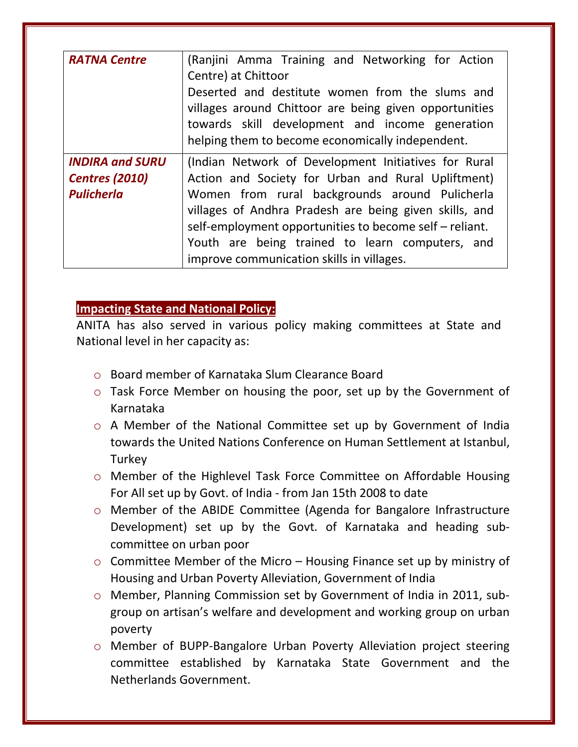| <b>RATNA Centre</b>                                                  | (Ranjini Amma Training and Networking for Action<br>Centre) at Chittoor<br>Deserted and destitute women from the slums and<br>villages around Chittoor are being given opportunities<br>towards skill development and income generation<br>helping them to become economically independent.                                                                                       |
|----------------------------------------------------------------------|-----------------------------------------------------------------------------------------------------------------------------------------------------------------------------------------------------------------------------------------------------------------------------------------------------------------------------------------------------------------------------------|
| <b>INDIRA and SURU</b><br><b>Centres (2010)</b><br><b>Pulicherla</b> | (Indian Network of Development Initiatives for Rural<br>Action and Society for Urban and Rural Upliftment)<br>Women from rural backgrounds around Pulicherla<br>villages of Andhra Pradesh are being given skills, and<br>self-employment opportunities to become self – reliant.<br>Youth are being trained to learn computers, and<br>improve communication skills in villages. |

## **Impacting State and National Policy:**

ANITA has also served in various policy making committees at State and National level in her capacity as:

- o Board member of Karnataka Slum Clearance Board
- o Task Force Member on housing the poor, set up by the Government of Karnataka
- o A Member of the National Committee set up by Government of India towards the United Nations Conference on Human Settlement at Istanbul, Turkey
- o Member of the Highlevel Task Force Committee on Affordable Housing For All set up by Govt. of India - from Jan 15th 2008 to date
- o Member of the ABIDE Committee (Agenda for Bangalore Infrastructure Development) set up by the Govt. of Karnataka and heading subcommittee on urban poor
- o Committee Member of the Micro Housing Finance set up by ministry of Housing and Urban Poverty Alleviation, Government of India
- o Member, Planning Commission set by Government of India in 2011, subgroup on artisan's welfare and development and working group on urban poverty
- o Member of BUPP-Bangalore Urban Poverty Alleviation project steering committee established by Karnataka State Government and the Netherlands Government.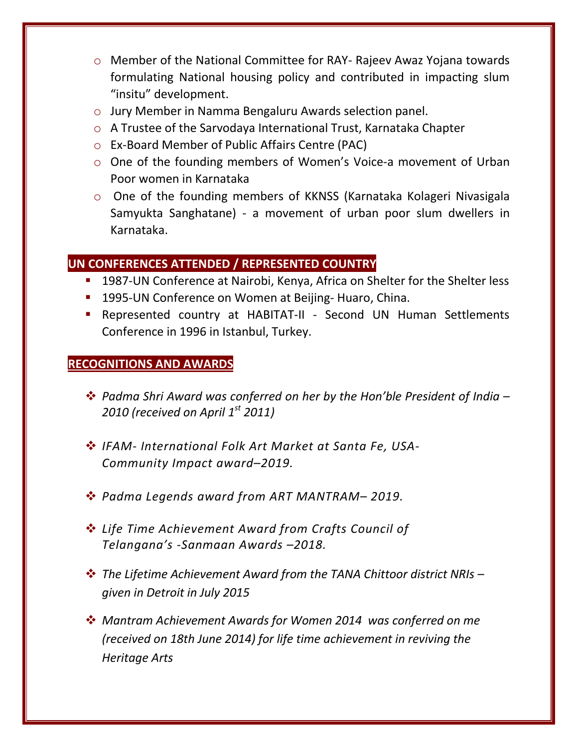- o Member of the National Committee for RAY- Rajeev Awaz Yojana towards formulating National housing policy and contributed in impacting slum "insitu" development.
- o Jury Member in Namma Bengaluru Awards selection panel.
- o A Trustee of the Sarvodaya International Trust, Karnataka Chapter
- o Ex-Board Member of Public Affairs Centre (PAC)
- o One of the founding members of Women's Voice-a movement of Urban Poor women in Karnataka
- o One of the founding members of KKNSS (Karnataka Kolageri Nivasigala Samyukta Sanghatane) - a movement of urban poor slum dwellers in Karnataka.

# **UN CONFERENCES ATTENDED / REPRESENTED COUNTRY**

- **1987-UN Conference at Nairobi, Kenya, Africa on Shelter for the Shelter less**
- **1995-UN Conference on Women at Beijing- Huaro, China.**
- Represented country at HABITAT-II Second UN Human Settlements Conference in 1996 in Istanbul, Turkey.

# **RECOGNITIONS AND AWARDS**

- *Padma Shri Award was conferred on her by the Hon'ble President of India – 2010 (received on April 1st 2011)*
- *IFAM- International Folk Art Market at Santa Fe, USA-Community Impact award–2019.*
- *Padma Legends award from ART MANTRAM– 2019.*
- *Life Time Achievement Award from Crafts Council of Telangana's -Sanmaan Awards –2018.*
- *The Lifetime Achievement Award from the TANA Chittoor district NRIs – given in Detroit in July 2015*
- *Mantram Achievement Awards for Women 2014 was conferred on me (received on 18th June 2014) for life time achievement in reviving the Heritage Arts*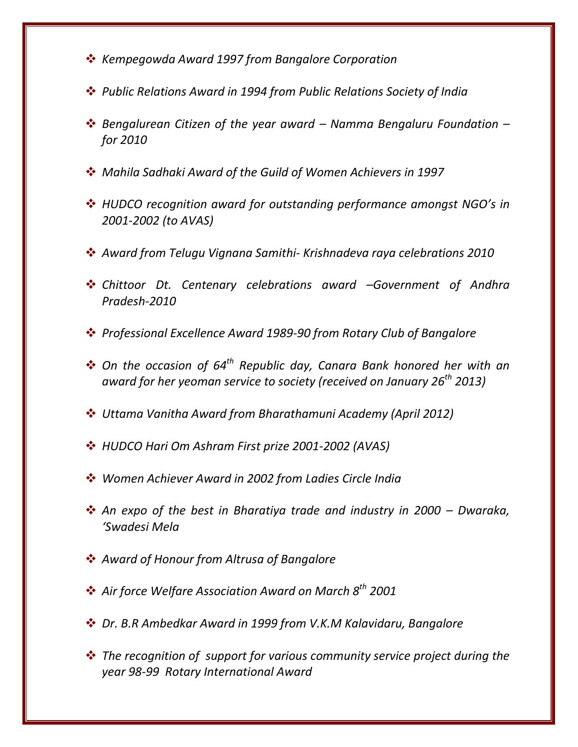- *Kempegowda Award 1997 from Bangalore Corporation*
- *Public Relations Award in 1994 from Public Relations Society of India*
- *Bengalurean Citizen of the year award – Namma Bengaluru Foundation – for 2010*
- *Mahila Sadhaki Award of the Guild of Women Achievers in 1997*
- *HUDCO recognition award for outstanding performance amongst NGO's in 2001-2002 (to AVAS)*
- *Award from Telugu Vignana Samithi- Krishnadeva raya celebrations 2010*
- *Chittoor Dt. Centenary celebrations award –Government of Andhra Pradesh-2010*
- *Professional Excellence Award 1989-90 from Rotary Club of Bangalore*
- *On the occasion of 64th Republic day, Canara Bank honored her with an award for her yeoman service to society (received on January 26th 2013)*
- *Uttama Vanitha Award from Bharathamuni Academy (April 2012)*
- *HUDCO Hari Om Ashram First prize 2001-2002 (AVAS)*
- *Women Achiever Award in 2002 from Ladies Circle India*
- **→** An expo of the best in Bharatiya trade and industry in 2000 Dwaraka, *'Swadesi Mela*
- *Award of Honour from Altrusa of Bangalore*
- *Air force Welfare Association Award on March 8th 2001*
- *Dr. B.R Ambedkar Award in 1999 from V.K.M Kalavidaru, Bangalore*
- *The recognition of support for various community service project during the year 98-99 Rotary International Award*